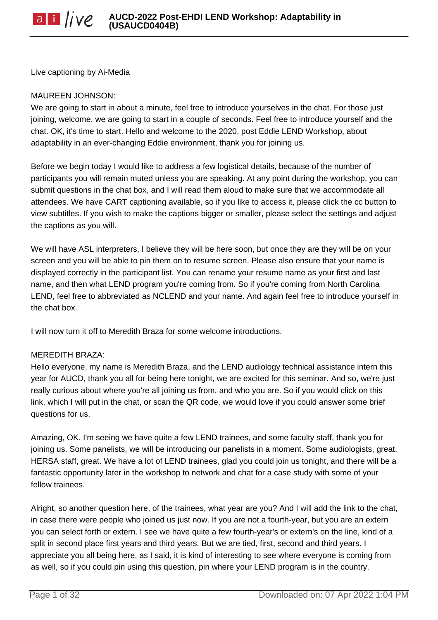Live captioning by Ai-Media

#### MAUREEN JOHNSON:

We are going to start in about a minute, feel free to introduce yourselves in the chat. For those just joining, welcome, we are going to start in a couple of seconds. Feel free to introduce yourself and the chat. OK, it's time to start. Hello and welcome to the 2020, post Eddie LEND Workshop, about adaptability in an ever-changing Eddie environment, thank you for joining us.

Before we begin today I would like to address a few logistical details, because of the number of participants you will remain muted unless you are speaking. At any point during the workshop, you can submit questions in the chat box, and I will read them aloud to make sure that we accommodate all attendees. We have CART captioning available, so if you like to access it, please click the cc button to view subtitles. If you wish to make the captions bigger or smaller, please select the settings and adjust the captions as you will.

We will have ASL interpreters, I believe they will be here soon, but once they are they will be on your screen and you will be able to pin them on to resume screen. Please also ensure that your name is displayed correctly in the participant list. You can rename your resume name as your first and last name, and then what LEND program you're coming from. So if you're coming from North Carolina LEND, feel free to abbreviated as NCLEND and your name. And again feel free to introduce yourself in the chat box.

I will now turn it off to Meredith Braza for some welcome introductions.

#### MEREDITH BRAZA:

Hello everyone, my name is Meredith Braza, and the LEND audiology technical assistance intern this year for AUCD, thank you all for being here tonight, we are excited for this seminar. And so, we're just really curious about where you're all joining us from, and who you are. So if you would click on this link, which I will put in the chat, or scan the QR code, we would love if you could answer some brief questions for us.

Amazing, OK. I'm seeing we have quite a few LEND trainees, and some faculty staff, thank you for joining us. Some panelists, we will be introducing our panelists in a moment. Some audiologists, great. HERSA staff, great. We have a lot of LEND trainees, glad you could join us tonight, and there will be a fantastic opportunity later in the workshop to network and chat for a case study with some of your fellow trainees.

Alright, so another question here, of the trainees, what year are you? And I will add the link to the chat, in case there were people who joined us just now. If you are not a fourth-year, but you are an extern you can select forth or extern. I see we have quite a few fourth-year's or extern's on the line, kind of a split in second place first years and third years. But we are tied, first, second and third years. I appreciate you all being here, as I said, it is kind of interesting to see where everyone is coming from as well, so if you could pin using this question, pin where your LEND program is in the country.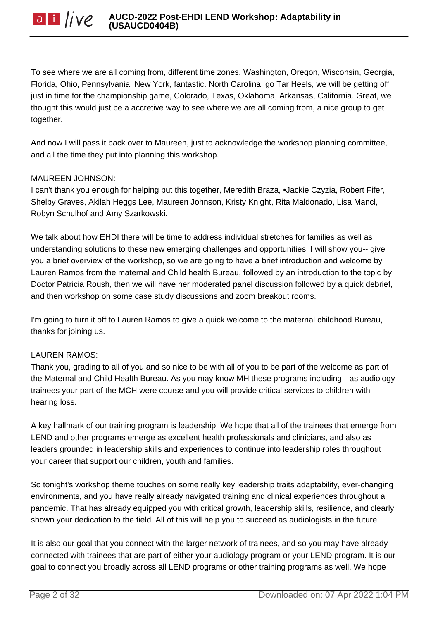To see where we are all coming from, different time zones. Washington, Oregon, Wisconsin, Georgia, Florida, Ohio, Pennsylvania, New York, fantastic. North Carolina, go Tar Heels, we will be getting off just in time for the championship game, Colorado, Texas, Oklahoma, Arkansas, California. Great, we thought this would just be a accretive way to see where we are all coming from, a nice group to get together.

And now I will pass it back over to Maureen, just to acknowledge the workshop planning committee, and all the time they put into planning this workshop.

## MAUREEN JOHNSON:

I can't thank you enough for helping put this together, Meredith Braza, •Jackie Czyzia, Robert Fifer, Shelby Graves, Akilah Heggs Lee, Maureen Johnson, Kristy Knight, Rita Maldonado, Lisa Mancl, Robyn Schulhof and Amy Szarkowski.

We talk about how EHDI there will be time to address individual stretches for families as well as understanding solutions to these new emerging challenges and opportunities. I will show you-- give you a brief overview of the workshop, so we are going to have a brief introduction and welcome by Lauren Ramos from the maternal and Child health Bureau, followed by an introduction to the topic by Doctor Patricia Roush, then we will have her moderated panel discussion followed by a quick debrief, and then workshop on some case study discussions and zoom breakout rooms.

I'm going to turn it off to Lauren Ramos to give a quick welcome to the maternal childhood Bureau, thanks for joining us.

# LAUREN RAMOS:

Thank you, grading to all of you and so nice to be with all of you to be part of the welcome as part of the Maternal and Child Health Bureau. As you may know MH these programs including-- as audiology trainees your part of the MCH were course and you will provide critical services to children with hearing loss.

A key hallmark of our training program is leadership. We hope that all of the trainees that emerge from LEND and other programs emerge as excellent health professionals and clinicians, and also as leaders grounded in leadership skills and experiences to continue into leadership roles throughout your career that support our children, youth and families.

So tonight's workshop theme touches on some really key leadership traits adaptability, ever-changing environments, and you have really already navigated training and clinical experiences throughout a pandemic. That has already equipped you with critical growth, leadership skills, resilience, and clearly shown your dedication to the field. All of this will help you to succeed as audiologists in the future.

It is also our goal that you connect with the larger network of trainees, and so you may have already connected with trainees that are part of either your audiology program or your LEND program. It is our goal to connect you broadly across all LEND programs or other training programs as well. We hope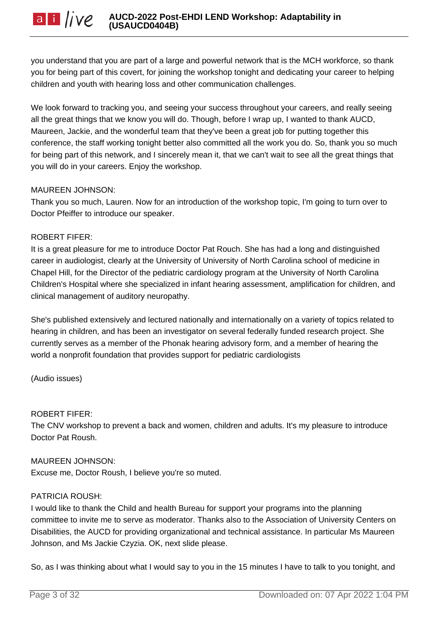you understand that you are part of a large and powerful network that is the MCH workforce, so thank you for being part of this covert, for joining the workshop tonight and dedicating your career to helping children and youth with hearing loss and other communication challenges.

We look forward to tracking you, and seeing your success throughout your careers, and really seeing all the great things that we know you will do. Though, before I wrap up, I wanted to thank AUCD, Maureen, Jackie, and the wonderful team that they've been a great job for putting together this conference, the staff working tonight better also committed all the work you do. So, thank you so much for being part of this network, and I sincerely mean it, that we can't wait to see all the great things that you will do in your careers. Enjoy the workshop.

# MAUREEN JOHNSON:

Thank you so much, Lauren. Now for an introduction of the workshop topic, I'm going to turn over to Doctor Pfeiffer to introduce our speaker.

# ROBERT FIFER:

It is a great pleasure for me to introduce Doctor Pat Rouch. She has had a long and distinguished career in audiologist, clearly at the University of University of North Carolina school of medicine in Chapel Hill, for the Director of the pediatric cardiology program at the University of North Carolina Children's Hospital where she specialized in infant hearing assessment, amplification for children, and clinical management of auditory neuropathy.

She's published extensively and lectured nationally and internationally on a variety of topics related to hearing in children, and has been an investigator on several federally funded research project. She currently serves as a member of the Phonak hearing advisory form, and a member of hearing the world a nonprofit foundation that provides support for pediatric cardiologists

(Audio issues)

# ROBERT FIFER:

The CNV workshop to prevent a back and women, children and adults. It's my pleasure to introduce Doctor Pat Roush.

# MAUREEN JOHNSON:

Excuse me, Doctor Roush, I believe you're so muted.

# PATRICIA ROUSH:

I would like to thank the Child and health Bureau for support your programs into the planning committee to invite me to serve as moderator. Thanks also to the Association of University Centers on Disabilities, the AUCD for providing organizational and technical assistance. In particular Ms Maureen Johnson, and Ms Jackie Czyzia. OK, next slide please.

So, as I was thinking about what I would say to you in the 15 minutes I have to talk to you tonight, and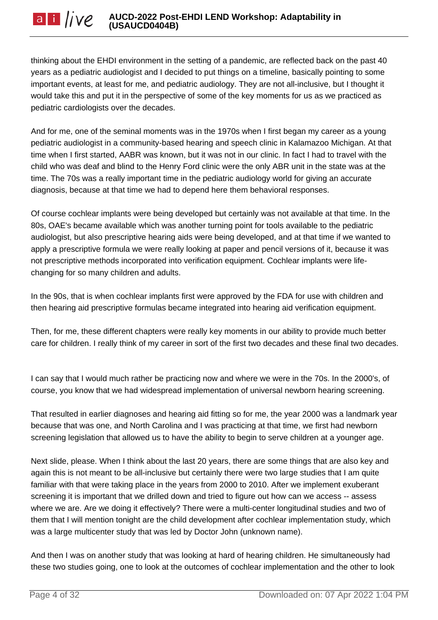thinking about the EHDI environment in the setting of a pandemic, are reflected back on the past 40 years as a pediatric audiologist and I decided to put things on a timeline, basically pointing to some important events, at least for me, and pediatric audiology. They are not all-inclusive, but I thought it would take this and put it in the perspective of some of the key moments for us as we practiced as pediatric cardiologists over the decades.

And for me, one of the seminal moments was in the 1970s when I first began my career as a young pediatric audiologist in a community-based hearing and speech clinic in Kalamazoo Michigan. At that time when I first started, AABR was known, but it was not in our clinic. In fact I had to travel with the child who was deaf and blind to the Henry Ford clinic were the only ABR unit in the state was at the time. The 70s was a really important time in the pediatric audiology world for giving an accurate diagnosis, because at that time we had to depend here them behavioral responses.

Of course cochlear implants were being developed but certainly was not available at that time. In the 80s, OAE's became available which was another turning point for tools available to the pediatric audiologist, but also prescriptive hearing aids were being developed, and at that time if we wanted to apply a prescriptive formula we were really looking at paper and pencil versions of it, because it was not prescriptive methods incorporated into verification equipment. Cochlear implants were lifechanging for so many children and adults.

In the 90s, that is when cochlear implants first were approved by the FDA for use with children and then hearing aid prescriptive formulas became integrated into hearing aid verification equipment.

Then, for me, these different chapters were really key moments in our ability to provide much better care for children. I really think of my career in sort of the first two decades and these final two decades.

I can say that I would much rather be practicing now and where we were in the 70s. In the 2000's, of course, you know that we had widespread implementation of universal newborn hearing screening.

That resulted in earlier diagnoses and hearing aid fitting so for me, the year 2000 was a landmark year because that was one, and North Carolina and I was practicing at that time, we first had newborn screening legislation that allowed us to have the ability to begin to serve children at a younger age.

Next slide, please. When I think about the last 20 years, there are some things that are also key and again this is not meant to be all-inclusive but certainly there were two large studies that I am quite familiar with that were taking place in the years from 2000 to 2010. After we implement exuberant screening it is important that we drilled down and tried to figure out how can we access -- assess where we are. Are we doing it effectively? There were a multi-center longitudinal studies and two of them that I will mention tonight are the child development after cochlear implementation study, which was a large multicenter study that was led by Doctor John (unknown name).

And then I was on another study that was looking at hard of hearing children. He simultaneously had these two studies going, one to look at the outcomes of cochlear implementation and the other to look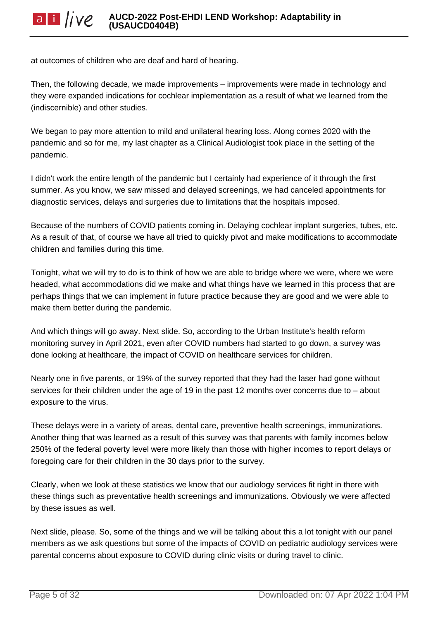at outcomes of children who are deaf and hard of hearing.

Then, the following decade, we made improvements – improvements were made in technology and they were expanded indications for cochlear implementation as a result of what we learned from the (indiscernible) and other studies.

We began to pay more attention to mild and unilateral hearing loss. Along comes 2020 with the pandemic and so for me, my last chapter as a Clinical Audiologist took place in the setting of the pandemic.

I didn't work the entire length of the pandemic but I certainly had experience of it through the first summer. As you know, we saw missed and delayed screenings, we had canceled appointments for diagnostic services, delays and surgeries due to limitations that the hospitals imposed.

Because of the numbers of COVID patients coming in. Delaying cochlear implant surgeries, tubes, etc. As a result of that, of course we have all tried to quickly pivot and make modifications to accommodate children and families during this time.

Tonight, what we will try to do is to think of how we are able to bridge where we were, where we were headed, what accommodations did we make and what things have we learned in this process that are perhaps things that we can implement in future practice because they are good and we were able to make them better during the pandemic.

And which things will go away. Next slide. So, according to the Urban Institute's health reform monitoring survey in April 2021, even after COVID numbers had started to go down, a survey was done looking at healthcare, the impact of COVID on healthcare services for children.

Nearly one in five parents, or 19% of the survey reported that they had the laser had gone without services for their children under the age of 19 in the past 12 months over concerns due to – about exposure to the virus.

These delays were in a variety of areas, dental care, preventive health screenings, immunizations. Another thing that was learned as a result of this survey was that parents with family incomes below 250% of the federal poverty level were more likely than those with higher incomes to report delays or foregoing care for their children in the 30 days prior to the survey.

Clearly, when we look at these statistics we know that our audiology services fit right in there with these things such as preventative health screenings and immunizations. Obviously we were affected by these issues as well.

Next slide, please. So, some of the things and we will be talking about this a lot tonight with our panel members as we ask questions but some of the impacts of COVID on pediatric audiology services were parental concerns about exposure to COVID during clinic visits or during travel to clinic.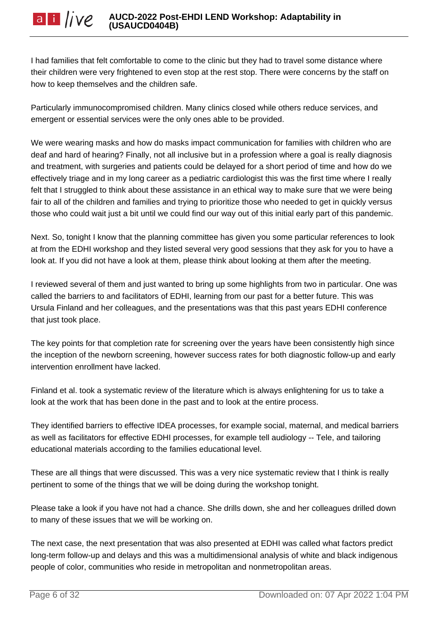I had families that felt comfortable to come to the clinic but they had to travel some distance where their children were very frightened to even stop at the rest stop. There were concerns by the staff on how to keep themselves and the children safe.

Particularly immunocompromised children. Many clinics closed while others reduce services, and emergent or essential services were the only ones able to be provided.

We were wearing masks and how do masks impact communication for families with children who are deaf and hard of hearing? Finally, not all inclusive but in a profession where a goal is really diagnosis and treatment, with surgeries and patients could be delayed for a short period of time and how do we effectively triage and in my long career as a pediatric cardiologist this was the first time where I really felt that I struggled to think about these assistance in an ethical way to make sure that we were being fair to all of the children and families and trying to prioritize those who needed to get in quickly versus those who could wait just a bit until we could find our way out of this initial early part of this pandemic.

Next. So, tonight I know that the planning committee has given you some particular references to look at from the EDHI workshop and they listed several very good sessions that they ask for you to have a look at. If you did not have a look at them, please think about looking at them after the meeting.

I reviewed several of them and just wanted to bring up some highlights from two in particular. One was called the barriers to and facilitators of EDHI, learning from our past for a better future. This was Ursula Finland and her colleagues, and the presentations was that this past years EDHI conference that just took place.

The key points for that completion rate for screening over the years have been consistently high since the inception of the newborn screening, however success rates for both diagnostic follow-up and early intervention enrollment have lacked.

Finland et al. took a systematic review of the literature which is always enlightening for us to take a look at the work that has been done in the past and to look at the entire process.

They identified barriers to effective IDEA processes, for example social, maternal, and medical barriers as well as facilitators for effective EDHI processes, for example tell audiology -- Tele, and tailoring educational materials according to the families educational level.

These are all things that were discussed. This was a very nice systematic review that I think is really pertinent to some of the things that we will be doing during the workshop tonight.

Please take a look if you have not had a chance. She drills down, she and her colleagues drilled down to many of these issues that we will be working on.

The next case, the next presentation that was also presented at EDHI was called what factors predict long-term follow-up and delays and this was a multidimensional analysis of white and black indigenous people of color, communities who reside in metropolitan and nonmetropolitan areas.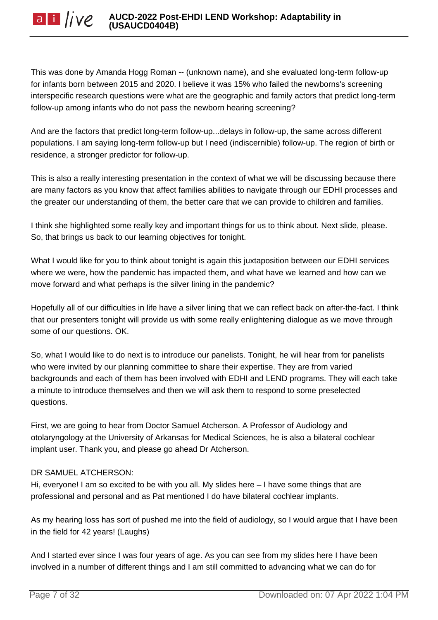This was done by Amanda Hogg Roman -- (unknown name), and she evaluated long-term follow-up for infants born between 2015 and 2020. I believe it was 15% who failed the newborns's screening interspecific research questions were what are the geographic and family actors that predict long-term follow-up among infants who do not pass the newborn hearing screening?

And are the factors that predict long-term follow-up...delays in follow-up, the same across different populations. I am saying long-term follow-up but I need (indiscernible) follow-up. The region of birth or residence, a stronger predictor for follow-up.

This is also a really interesting presentation in the context of what we will be discussing because there are many factors as you know that affect families abilities to navigate through our EDHI processes and the greater our understanding of them, the better care that we can provide to children and families.

I think she highlighted some really key and important things for us to think about. Next slide, please. So, that brings us back to our learning objectives for tonight.

What I would like for you to think about tonight is again this juxtaposition between our EDHI services where we were, how the pandemic has impacted them, and what have we learned and how can we move forward and what perhaps is the silver lining in the pandemic?

Hopefully all of our difficulties in life have a silver lining that we can reflect back on after-the-fact. I think that our presenters tonight will provide us with some really enlightening dialogue as we move through some of our questions. OK.

So, what I would like to do next is to introduce our panelists. Tonight, he will hear from for panelists who were invited by our planning committee to share their expertise. They are from varied backgrounds and each of them has been involved with EDHI and LEND programs. They will each take a minute to introduce themselves and then we will ask them to respond to some preselected questions.

First, we are going to hear from Doctor Samuel Atcherson. A Professor of Audiology and otolaryngology at the University of Arkansas for Medical Sciences, he is also a bilateral cochlear implant user. Thank you, and please go ahead Dr Atcherson.

# DR SAMUEL ATCHERSON:

Hi, everyone! I am so excited to be with you all. My slides here – I have some things that are professional and personal and as Pat mentioned I do have bilateral cochlear implants.

As my hearing loss has sort of pushed me into the field of audiology, so I would argue that I have been in the field for 42 years! (Laughs)

And I started ever since I was four years of age. As you can see from my slides here I have been involved in a number of different things and I am still committed to advancing what we can do for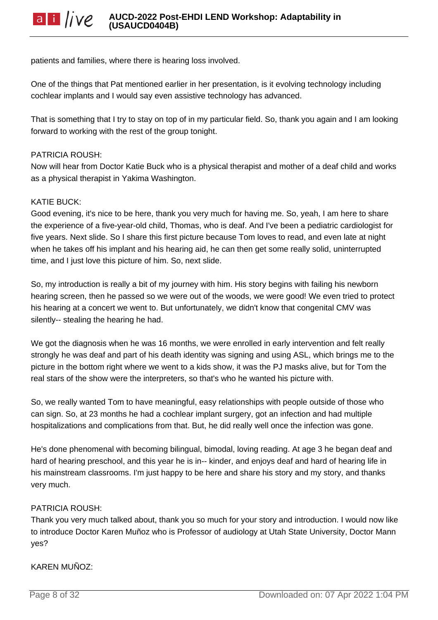patients and families, where there is hearing loss involved.

One of the things that Pat mentioned earlier in her presentation, is it evolving technology including cochlear implants and I would say even assistive technology has advanced.

That is something that I try to stay on top of in my particular field. So, thank you again and I am looking forward to working with the rest of the group tonight.

#### PATRICIA ROUSH:

Now will hear from Doctor Katie Buck who is a physical therapist and mother of a deaf child and works as a physical therapist in Yakima Washington.

#### KATIE BUCK:

Good evening, it's nice to be here, thank you very much for having me. So, yeah, I am here to share the experience of a five-year-old child, Thomas, who is deaf. And I've been a pediatric cardiologist for five years. Next slide. So I share this first picture because Tom loves to read, and even late at night when he takes off his implant and his hearing aid, he can then get some really solid, uninterrupted time, and I just love this picture of him. So, next slide.

So, my introduction is really a bit of my journey with him. His story begins with failing his newborn hearing screen, then he passed so we were out of the woods, we were good! We even tried to protect his hearing at a concert we went to. But unfortunately, we didn't know that congenital CMV was silently-- stealing the hearing he had.

We got the diagnosis when he was 16 months, we were enrolled in early intervention and felt really strongly he was deaf and part of his death identity was signing and using ASL, which brings me to the picture in the bottom right where we went to a kids show, it was the PJ masks alive, but for Tom the real stars of the show were the interpreters, so that's who he wanted his picture with.

So, we really wanted Tom to have meaningful, easy relationships with people outside of those who can sign. So, at 23 months he had a cochlear implant surgery, got an infection and had multiple hospitalizations and complications from that. But, he did really well once the infection was gone.

He's done phenomenal with becoming bilingual, bimodal, loving reading. At age 3 he began deaf and hard of hearing preschool, and this year he is in-- kinder, and enjoys deaf and hard of hearing life in his mainstream classrooms. I'm just happy to be here and share his story and my story, and thanks very much.

#### PATRICIA ROUSH:

Thank you very much talked about, thank you so much for your story and introduction. I would now like to introduce Doctor Karen Muñoz who is Professor of audiology at Utah State University, Doctor Mann yes?

#### KAREN MUÑOZ: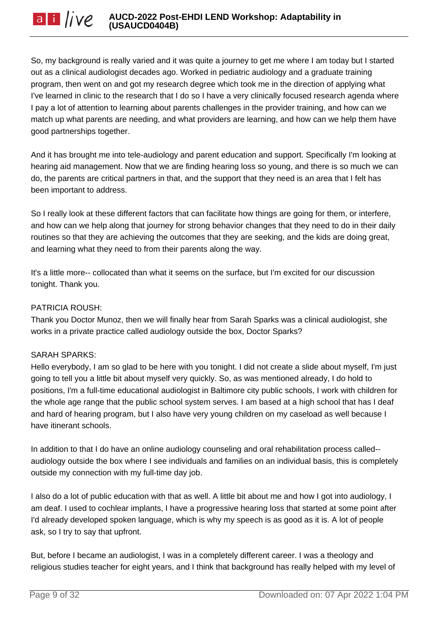So, my background is really varied and it was quite a journey to get me where I am today but I started out as a clinical audiologist decades ago. Worked in pediatric audiology and a graduate training program, then went on and got my research degree which took me in the direction of applying what I've learned in clinic to the research that I do so I have a very clinically focused research agenda where I pay a lot of attention to learning about parents challenges in the provider training, and how can we match up what parents are needing, and what providers are learning, and how can we help them have good partnerships together.

And it has brought me into tele-audiology and parent education and support. Specifically I'm looking at hearing aid management. Now that we are finding hearing loss so young, and there is so much we can do, the parents are critical partners in that, and the support that they need is an area that I felt has been important to address.

So I really look at these different factors that can facilitate how things are going for them, or interfere, and how can we help along that journey for strong behavior changes that they need to do in their daily routines so that they are achieving the outcomes that they are seeking, and the kids are doing great, and learning what they need to from their parents along the way.

It's a little more-- collocated than what it seems on the surface, but I'm excited for our discussion tonight. Thank you.

# PATRICIA ROUSH:

Thank you Doctor Munoz, then we will finally hear from Sarah Sparks was a clinical audiologist, she works in a private practice called audiology outside the box, Doctor Sparks?

#### SARAH SPARKS:

Hello everybody, I am so glad to be here with you tonight. I did not create a slide about myself, I'm just going to tell you a little bit about myself very quickly. So, as was mentioned already, I do hold to positions, I'm a full-time educational audiologist in Baltimore city public schools, I work with children for the whole age range that the public school system serves. I am based at a high school that has I deaf and hard of hearing program, but I also have very young children on my caseload as well because I have itinerant schools.

In addition to that I do have an online audiology counseling and oral rehabilitation process called- audiology outside the box where I see individuals and families on an individual basis, this is completely outside my connection with my full-time day job.

I also do a lot of public education with that as well. A little bit about me and how I got into audiology, I am deaf. I used to cochlear implants, I have a progressive hearing loss that started at some point after I'd already developed spoken language, which is why my speech is as good as it is. A lot of people ask, so I try to say that upfront.

But, before I became an audiologist, I was in a completely different career. I was a theology and religious studies teacher for eight years, and I think that background has really helped with my level of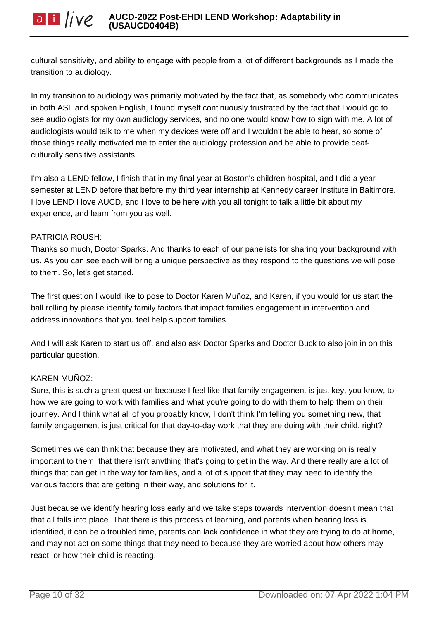cultural sensitivity, and ability to engage with people from a lot of different backgrounds as I made the transition to audiology.

In my transition to audiology was primarily motivated by the fact that, as somebody who communicates in both ASL and spoken English, I found myself continuously frustrated by the fact that I would go to see audiologists for my own audiology services, and no one would know how to sign with me. A lot of audiologists would talk to me when my devices were off and I wouldn't be able to hear, so some of those things really motivated me to enter the audiology profession and be able to provide deafculturally sensitive assistants.

I'm also a LEND fellow, I finish that in my final year at Boston's children hospital, and I did a year semester at LEND before that before my third year internship at Kennedy career Institute in Baltimore. I love LEND I love AUCD, and I love to be here with you all tonight to talk a little bit about my experience, and learn from you as well.

#### PATRICIA ROUSH:

Thanks so much, Doctor Sparks. And thanks to each of our panelists for sharing your background with us. As you can see each will bring a unique perspective as they respond to the questions we will pose to them. So, let's get started.

The first question I would like to pose to Doctor Karen Muñoz, and Karen, if you would for us start the ball rolling by please identify family factors that impact families engagement in intervention and address innovations that you feel help support families.

And I will ask Karen to start us off, and also ask Doctor Sparks and Doctor Buck to also join in on this particular question.

# KAREN MUÑOZ:

Sure, this is such a great question because I feel like that family engagement is just key, you know, to how we are going to work with families and what you're going to do with them to help them on their journey. And I think what all of you probably know, I don't think I'm telling you something new, that family engagement is just critical for that day-to-day work that they are doing with their child, right?

Sometimes we can think that because they are motivated, and what they are working on is really important to them, that there isn't anything that's going to get in the way. And there really are a lot of things that can get in the way for families, and a lot of support that they may need to identify the various factors that are getting in their way, and solutions for it.

Just because we identify hearing loss early and we take steps towards intervention doesn't mean that that all falls into place. That there is this process of learning, and parents when hearing loss is identified, it can be a troubled time, parents can lack confidence in what they are trying to do at home, and may not act on some things that they need to because they are worried about how others may react, or how their child is reacting.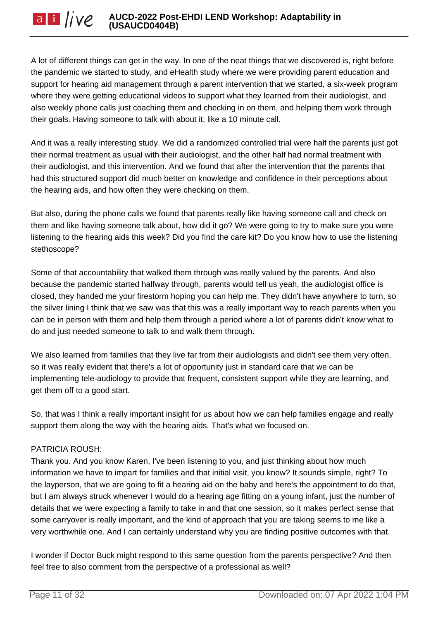A lot of different things can get in the way. In one of the neat things that we discovered is, right before the pandemic we started to study, and eHealth study where we were providing parent education and support for hearing aid management through a parent intervention that we started, a six-week program where they were getting educational videos to support what they learned from their audiologist, and also weekly phone calls just coaching them and checking in on them, and helping them work through their goals. Having someone to talk with about it, like a 10 minute call.

And it was a really interesting study. We did a randomized controlled trial were half the parents just got their normal treatment as usual with their audiologist, and the other half had normal treatment with their audiologist, and this intervention. And we found that after the intervention that the parents that had this structured support did much better on knowledge and confidence in their perceptions about the hearing aids, and how often they were checking on them.

But also, during the phone calls we found that parents really like having someone call and check on them and like having someone talk about, how did it go? We were going to try to make sure you were listening to the hearing aids this week? Did you find the care kit? Do you know how to use the listening stethoscope?

Some of that accountability that walked them through was really valued by the parents. And also because the pandemic started halfway through, parents would tell us yeah, the audiologist office is closed, they handed me your firestorm hoping you can help me. They didn't have anywhere to turn, so the silver lining I think that we saw was that this was a really important way to reach parents when you can be in person with them and help them through a period where a lot of parents didn't know what to do and just needed someone to talk to and walk them through.

We also learned from families that they live far from their audiologists and didn't see them very often, so it was really evident that there's a lot of opportunity just in standard care that we can be implementing tele-audiology to provide that frequent, consistent support while they are learning, and get them off to a good start.

So, that was I think a really important insight for us about how we can help families engage and really support them along the way with the hearing aids. That's what we focused on.

# PATRICIA ROUSH:

Thank you. And you know Karen, I've been listening to you, and just thinking about how much information we have to impart for families and that initial visit, you know? It sounds simple, right? To the layperson, that we are going to fit a hearing aid on the baby and here's the appointment to do that, but I am always struck whenever I would do a hearing age fitting on a young infant, just the number of details that we were expecting a family to take in and that one session, so it makes perfect sense that some carryover is really important, and the kind of approach that you are taking seems to me like a very worthwhile one. And I can certainly understand why you are finding positive outcomes with that.

I wonder if Doctor Buck might respond to this same question from the parents perspective? And then feel free to also comment from the perspective of a professional as well?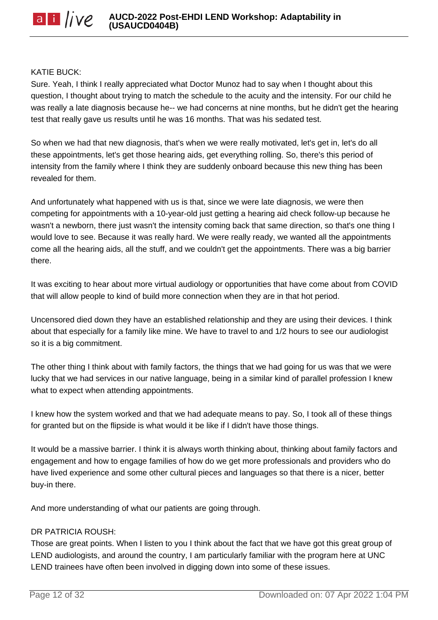#### KATIE BUCK:

Sure. Yeah, I think I really appreciated what Doctor Munoz had to say when I thought about this question, I thought about trying to match the schedule to the acuity and the intensity. For our child he was really a late diagnosis because he-- we had concerns at nine months, but he didn't get the hearing test that really gave us results until he was 16 months. That was his sedated test.

So when we had that new diagnosis, that's when we were really motivated, let's get in, let's do all these appointments, let's get those hearing aids, get everything rolling. So, there's this period of intensity from the family where I think they are suddenly onboard because this new thing has been revealed for them.

And unfortunately what happened with us is that, since we were late diagnosis, we were then competing for appointments with a 10-year-old just getting a hearing aid check follow-up because he wasn't a newborn, there just wasn't the intensity coming back that same direction, so that's one thing I would love to see. Because it was really hard. We were really ready, we wanted all the appointments come all the hearing aids, all the stuff, and we couldn't get the appointments. There was a big barrier there.

It was exciting to hear about more virtual audiology or opportunities that have come about from COVID that will allow people to kind of build more connection when they are in that hot period.

Uncensored died down they have an established relationship and they are using their devices. I think about that especially for a family like mine. We have to travel to and 1/2 hours to see our audiologist so it is a big commitment.

The other thing I think about with family factors, the things that we had going for us was that we were lucky that we had services in our native language, being in a similar kind of parallel profession I knew what to expect when attending appointments.

I knew how the system worked and that we had adequate means to pay. So, I took all of these things for granted but on the flipside is what would it be like if I didn't have those things.

It would be a massive barrier. I think it is always worth thinking about, thinking about family factors and engagement and how to engage families of how do we get more professionals and providers who do have lived experience and some other cultural pieces and languages so that there is a nicer, better buy-in there.

And more understanding of what our patients are going through.

#### DR PATRICIA ROUSH:

Those are great points. When I listen to you I think about the fact that we have got this great group of LEND audiologists, and around the country, I am particularly familiar with the program here at UNC LEND trainees have often been involved in digging down into some of these issues.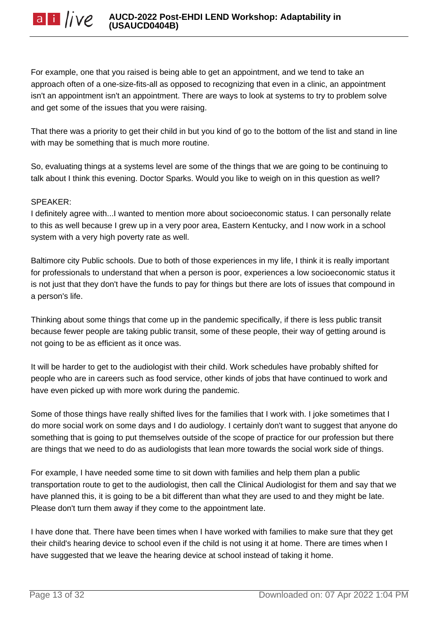For example, one that you raised is being able to get an appointment, and we tend to take an approach often of a one-size-fits-all as opposed to recognizing that even in a clinic, an appointment isn't an appointment isn't an appointment. There are ways to look at systems to try to problem solve and get some of the issues that you were raising.

That there was a priority to get their child in but you kind of go to the bottom of the list and stand in line with may be something that is much more routine.

So, evaluating things at a systems level are some of the things that we are going to be continuing to talk about I think this evening. Doctor Sparks. Would you like to weigh on in this question as well?

## SPEAKER:

I definitely agree with...I wanted to mention more about socioeconomic status. I can personally relate to this as well because I grew up in a very poor area, Eastern Kentucky, and I now work in a school system with a very high poverty rate as well.

Baltimore city Public schools. Due to both of those experiences in my life, I think it is really important for professionals to understand that when a person is poor, experiences a low socioeconomic status it is not just that they don't have the funds to pay for things but there are lots of issues that compound in a person's life.

Thinking about some things that come up in the pandemic specifically, if there is less public transit because fewer people are taking public transit, some of these people, their way of getting around is not going to be as efficient as it once was.

It will be harder to get to the audiologist with their child. Work schedules have probably shifted for people who are in careers such as food service, other kinds of jobs that have continued to work and have even picked up with more work during the pandemic.

Some of those things have really shifted lives for the families that I work with. I joke sometimes that I do more social work on some days and I do audiology. I certainly don't want to suggest that anyone do something that is going to put themselves outside of the scope of practice for our profession but there are things that we need to do as audiologists that lean more towards the social work side of things.

For example, I have needed some time to sit down with families and help them plan a public transportation route to get to the audiologist, then call the Clinical Audiologist for them and say that we have planned this, it is going to be a bit different than what they are used to and they might be late. Please don't turn them away if they come to the appointment late.

I have done that. There have been times when I have worked with families to make sure that they get their child's hearing device to school even if the child is not using it at home. There are times when I have suggested that we leave the hearing device at school instead of taking it home.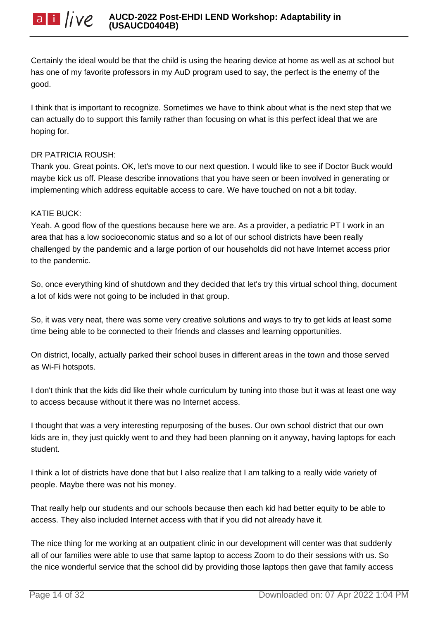

Certainly the ideal would be that the child is using the hearing device at home as well as at school but has one of my favorite professors in my AuD program used to say, the perfect is the enemy of the good.

I think that is important to recognize. Sometimes we have to think about what is the next step that we can actually do to support this family rather than focusing on what is this perfect ideal that we are hoping for.

#### DR PATRICIA ROUSH:

Thank you. Great points. OK, let's move to our next question. I would like to see if Doctor Buck would maybe kick us off. Please describe innovations that you have seen or been involved in generating or implementing which address equitable access to care. We have touched on not a bit today.

#### KATIE BUCK:

Yeah. A good flow of the questions because here we are. As a provider, a pediatric PT I work in an area that has a low socioeconomic status and so a lot of our school districts have been really challenged by the pandemic and a large portion of our households did not have Internet access prior to the pandemic.

So, once everything kind of shutdown and they decided that let's try this virtual school thing, document a lot of kids were not going to be included in that group.

So, it was very neat, there was some very creative solutions and ways to try to get kids at least some time being able to be connected to their friends and classes and learning opportunities.

On district, locally, actually parked their school buses in different areas in the town and those served as Wi-Fi hotspots.

I don't think that the kids did like their whole curriculum by tuning into those but it was at least one way to access because without it there was no Internet access.

I thought that was a very interesting repurposing of the buses. Our own school district that our own kids are in, they just quickly went to and they had been planning on it anyway, having laptops for each student.

I think a lot of districts have done that but I also realize that I am talking to a really wide variety of people. Maybe there was not his money.

That really help our students and our schools because then each kid had better equity to be able to access. They also included Internet access with that if you did not already have it.

The nice thing for me working at an outpatient clinic in our development will center was that suddenly all of our families were able to use that same laptop to access Zoom to do their sessions with us. So the nice wonderful service that the school did by providing those laptops then gave that family access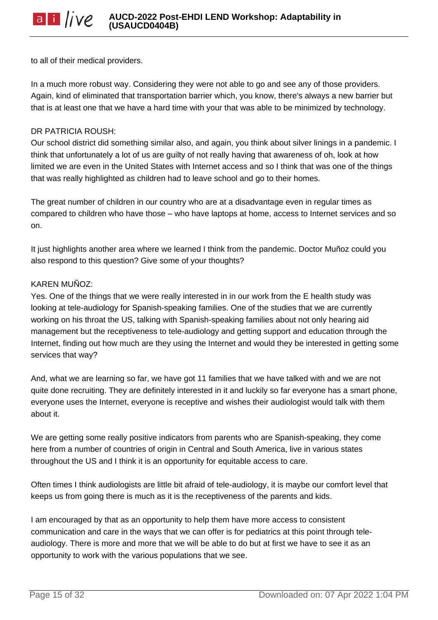to all of their medical providers.

In a much more robust way. Considering they were not able to go and see any of those providers. Again, kind of eliminated that transportation barrier which, you know, there's always a new barrier but that is at least one that we have a hard time with your that was able to be minimized by technology.

#### DR PATRICIA ROUSH:

Our school district did something similar also, and again, you think about silver linings in a pandemic. I think that unfortunately a lot of us are guilty of not really having that awareness of oh, look at how limited we are even in the United States with Internet access and so I think that was one of the things that was really highlighted as children had to leave school and go to their homes.

The great number of children in our country who are at a disadvantage even in regular times as compared to children who have those – who have laptops at home, access to Internet services and so on.

It just highlights another area where we learned I think from the pandemic. Doctor Muñoz could you also respond to this question? Give some of your thoughts?

## KAREN MUÑOZ:

Yes. One of the things that we were really interested in in our work from the E health study was looking at tele-audiology for Spanish-speaking families. One of the studies that we are currently working on his throat the US, talking with Spanish-speaking families about not only hearing aid management but the receptiveness to tele-audiology and getting support and education through the Internet, finding out how much are they using the Internet and would they be interested in getting some services that way?

And, what we are learning so far, we have got 11 families that we have talked with and we are not quite done recruiting. They are definitely interested in it and luckily so far everyone has a smart phone, everyone uses the Internet, everyone is receptive and wishes their audiologist would talk with them about it.

We are getting some really positive indicators from parents who are Spanish-speaking, they come here from a number of countries of origin in Central and South America, live in various states throughout the US and I think it is an opportunity for equitable access to care.

Often times I think audiologists are little bit afraid of tele-audiology, it is maybe our comfort level that keeps us from going there is much as it is the receptiveness of the parents and kids.

I am encouraged by that as an opportunity to help them have more access to consistent communication and care in the ways that we can offer is for pediatrics at this point through teleaudiology. There is more and more that we will be able to do but at first we have to see it as an opportunity to work with the various populations that we see.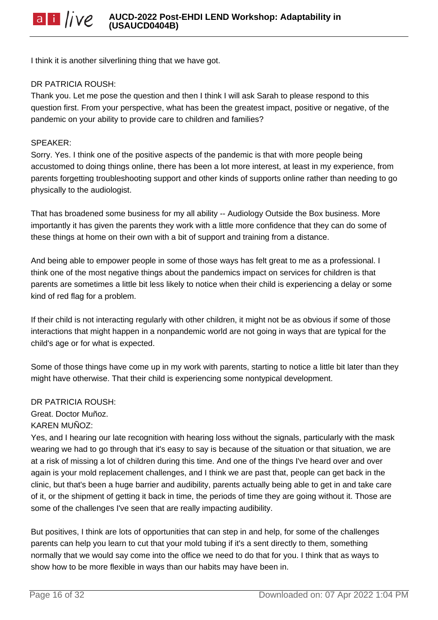I think it is another silverlining thing that we have got.

#### DR PATRICIA ROUSH:

Thank you. Let me pose the question and then I think I will ask Sarah to please respond to this question first. From your perspective, what has been the greatest impact, positive or negative, of the pandemic on your ability to provide care to children and families?

#### SPEAKER:

Sorry. Yes. I think one of the positive aspects of the pandemic is that with more people being accustomed to doing things online, there has been a lot more interest, at least in my experience, from parents forgetting troubleshooting support and other kinds of supports online rather than needing to go physically to the audiologist.

That has broadened some business for my all ability -- Audiology Outside the Box business. More importantly it has given the parents they work with a little more confidence that they can do some of these things at home on their own with a bit of support and training from a distance.

And being able to empower people in some of those ways has felt great to me as a professional. I think one of the most negative things about the pandemics impact on services for children is that parents are sometimes a little bit less likely to notice when their child is experiencing a delay or some kind of red flag for a problem.

If their child is not interacting regularly with other children, it might not be as obvious if some of those interactions that might happen in a nonpandemic world are not going in ways that are typical for the child's age or for what is expected.

Some of those things have come up in my work with parents, starting to notice a little bit later than they might have otherwise. That their child is experiencing some nontypical development.

DR PATRICIA ROUSH: Great. Doctor Muñoz. KAREN MUÑOZ:

Yes, and I hearing our late recognition with hearing loss without the signals, particularly with the mask wearing we had to go through that it's easy to say is because of the situation or that situation, we are at a risk of missing a lot of children during this time. And one of the things I've heard over and over again is your mold replacement challenges, and I think we are past that, people can get back in the clinic, but that's been a huge barrier and audibility, parents actually being able to get in and take care of it, or the shipment of getting it back in time, the periods of time they are going without it. Those are some of the challenges I've seen that are really impacting audibility.

But positives, I think are lots of opportunities that can step in and help, for some of the challenges parents can help you learn to cut that your mold tubing if it's a sent directly to them, something normally that we would say come into the office we need to do that for you. I think that as ways to show how to be more flexible in ways than our habits may have been in.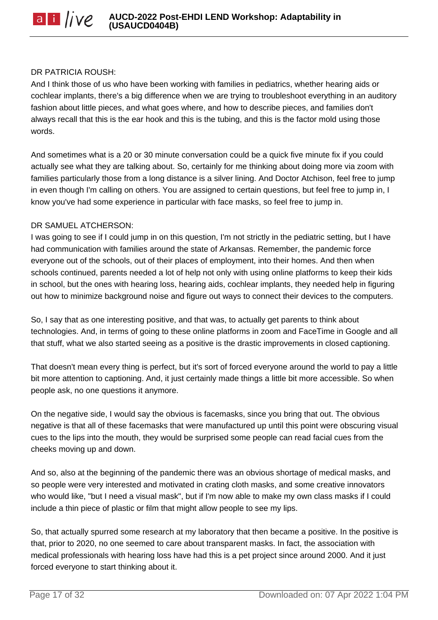#### DR PATRICIA ROUSH:

And I think those of us who have been working with families in pediatrics, whether hearing aids or cochlear implants, there's a big difference when we are trying to troubleshoot everything in an auditory fashion about little pieces, and what goes where, and how to describe pieces, and families don't always recall that this is the ear hook and this is the tubing, and this is the factor mold using those words.

And sometimes what is a 20 or 30 minute conversation could be a quick five minute fix if you could actually see what they are talking about. So, certainly for me thinking about doing more via zoom with families particularly those from a long distance is a silver lining. And Doctor Atchison, feel free to jump in even though I'm calling on others. You are assigned to certain questions, but feel free to jump in, I know you've had some experience in particular with face masks, so feel free to jump in.

#### DR SAMUEL ATCHERSON:

I was going to see if I could jump in on this question, I'm not strictly in the pediatric setting, but I have had communication with families around the state of Arkansas. Remember, the pandemic force everyone out of the schools, out of their places of employment, into their homes. And then when schools continued, parents needed a lot of help not only with using online platforms to keep their kids in school, but the ones with hearing loss, hearing aids, cochlear implants, they needed help in figuring out how to minimize background noise and figure out ways to connect their devices to the computers.

So, I say that as one interesting positive, and that was, to actually get parents to think about technologies. And, in terms of going to these online platforms in zoom and FaceTime in Google and all that stuff, what we also started seeing as a positive is the drastic improvements in closed captioning.

That doesn't mean every thing is perfect, but it's sort of forced everyone around the world to pay a little bit more attention to captioning. And, it just certainly made things a little bit more accessible. So when people ask, no one questions it anymore.

On the negative side, I would say the obvious is facemasks, since you bring that out. The obvious negative is that all of these facemasks that were manufactured up until this point were obscuring visual cues to the lips into the mouth, they would be surprised some people can read facial cues from the cheeks moving up and down.

And so, also at the beginning of the pandemic there was an obvious shortage of medical masks, and so people were very interested and motivated in crating cloth masks, and some creative innovators who would like, "but I need a visual mask", but if I'm now able to make my own class masks if I could include a thin piece of plastic or film that might allow people to see my lips.

So, that actually spurred some research at my laboratory that then became a positive. In the positive is that, prior to 2020, no one seemed to care about transparent masks. In fact, the association with medical professionals with hearing loss have had this is a pet project since around 2000. And it just forced everyone to start thinking about it.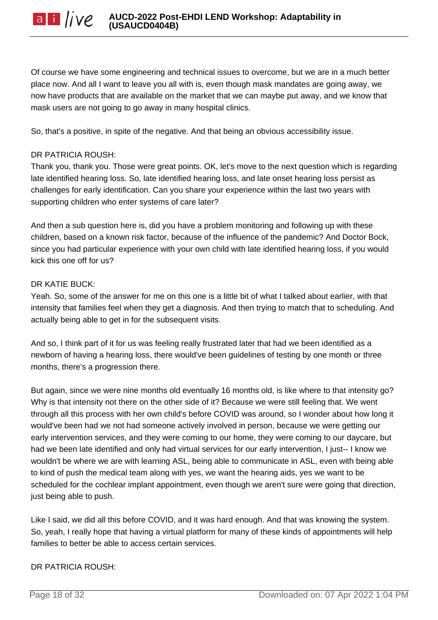Of course we have some engineering and technical issues to overcome, but we are in a much better place now. And all I want to leave you all with is, even though mask mandates are going away, we now have products that are available on the market that we can maybe put away, and we know that mask users are not going to go away in many hospital clinics.

So, that's a positive, in spite of the negative. And that being an obvious accessibility issue.

## DR PATRICIA ROUSH:

Thank you, thank you. Those were great points. OK, let's move to the next question which is regarding late identified hearing loss. So, late identified hearing loss, and late onset hearing loss persist as challenges for early identification. Can you share your experience within the last two years with supporting children who enter systems of care later?

And then a sub question here is, did you have a problem monitoring and following up with these children, based on a known risk factor, because of the influence of the pandemic? And Doctor Bock, since you had particular experience with your own child with late identified hearing loss, if you would kick this one off for us?

## DR KATIE BUCK:

Yeah. So, some of the answer for me on this one is a little bit of what I talked about earlier, with that intensity that families feel when they get a diagnosis. And then trying to match that to scheduling. And actually being able to get in for the subsequent visits.

And so, I think part of it for us was feeling really frustrated later that had we been identified as a newborn of having a hearing loss, there would've been guidelines of testing by one month or three months, there's a progression there.

But again, since we were nine months old eventually 16 months old, is like where to that intensity go? Why is that intensity not there on the other side of it? Because we were still feeling that. We went through all this process with her own child's before COVID was around, so I wonder about how long it would've been had we not had someone actively involved in person, because we were getting our early intervention services, and they were coming to our home, they were coming to our daycare, but had we been late identified and only had virtual services for our early intervention, I just-- I know we wouldn't be where we are with learning ASL, being able to communicate in ASL, even with being able to kind of push the medical team along with yes, we want the hearing aids, yes we want to be scheduled for the cochlear implant appointment, even though we aren't sure were going that direction, just being able to push.

Like I said, we did all this before COVID, and it was hard enough. And that was knowing the system. So, yeah, I really hope that having a virtual platform for many of these kinds of appointments will help families to better be able to access certain services.

# DR PATRICIA ROUSH: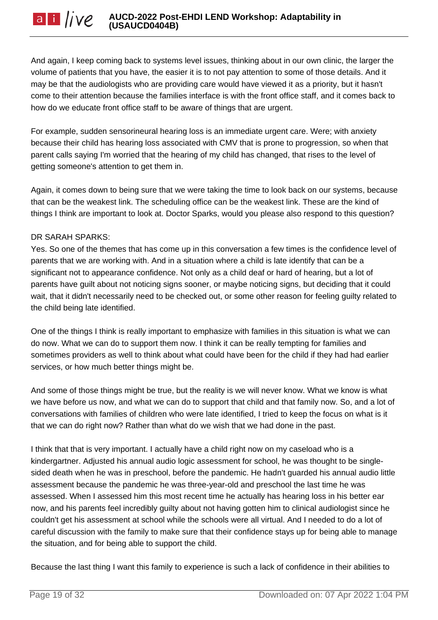And again, I keep coming back to systems level issues, thinking about in our own clinic, the larger the volume of patients that you have, the easier it is to not pay attention to some of those details. And it may be that the audiologists who are providing care would have viewed it as a priority, but it hasn't come to their attention because the families interface is with the front office staff, and it comes back to how do we educate front office staff to be aware of things that are urgent.

For example, sudden sensorineural hearing loss is an immediate urgent care. Were; with anxiety because their child has hearing loss associated with CMV that is prone to progression, so when that parent calls saying I'm worried that the hearing of my child has changed, that rises to the level of getting someone's attention to get them in.

Again, it comes down to being sure that we were taking the time to look back on our systems, because that can be the weakest link. The scheduling office can be the weakest link. These are the kind of things I think are important to look at. Doctor Sparks, would you please also respond to this question?

## DR SARAH SPARKS:

Yes. So one of the themes that has come up in this conversation a few times is the confidence level of parents that we are working with. And in a situation where a child is late identify that can be a significant not to appearance confidence. Not only as a child deaf or hard of hearing, but a lot of parents have guilt about not noticing signs sooner, or maybe noticing signs, but deciding that it could wait, that it didn't necessarily need to be checked out, or some other reason for feeling guilty related to the child being late identified.

One of the things I think is really important to emphasize with families in this situation is what we can do now. What we can do to support them now. I think it can be really tempting for families and sometimes providers as well to think about what could have been for the child if they had had earlier services, or how much better things might be.

And some of those things might be true, but the reality is we will never know. What we know is what we have before us now, and what we can do to support that child and that family now. So, and a lot of conversations with families of children who were late identified, I tried to keep the focus on what is it that we can do right now? Rather than what do we wish that we had done in the past.

I think that that is very important. I actually have a child right now on my caseload who is a kindergartner. Adjusted his annual audio logic assessment for school, he was thought to be singlesided death when he was in preschool, before the pandemic. He hadn't guarded his annual audio little assessment because the pandemic he was three-year-old and preschool the last time he was assessed. When I assessed him this most recent time he actually has hearing loss in his better ear now, and his parents feel incredibly guilty about not having gotten him to clinical audiologist since he couldn't get his assessment at school while the schools were all virtual. And I needed to do a lot of careful discussion with the family to make sure that their confidence stays up for being able to manage the situation, and for being able to support the child.

Because the last thing I want this family to experience is such a lack of confidence in their abilities to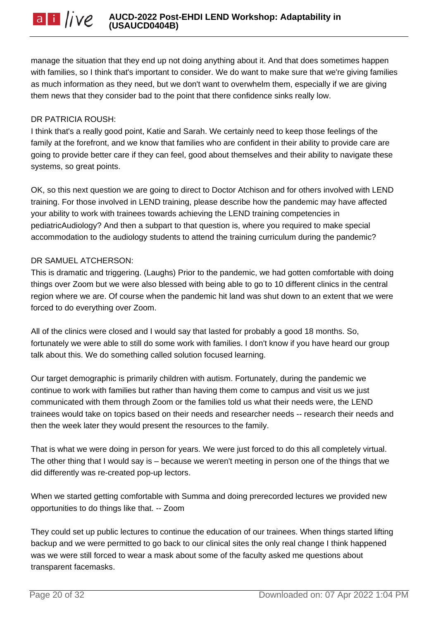manage the situation that they end up not doing anything about it. And that does sometimes happen with families, so I think that's important to consider. We do want to make sure that we're giving families as much information as they need, but we don't want to overwhelm them, especially if we are giving them news that they consider bad to the point that there confidence sinks really low.

#### DR PATRICIA ROUSH:

I think that's a really good point, Katie and Sarah. We certainly need to keep those feelings of the family at the forefront, and we know that families who are confident in their ability to provide care are going to provide better care if they can feel, good about themselves and their ability to navigate these systems, so great points.

OK, so this next question we are going to direct to Doctor Atchison and for others involved with LEND training. For those involved in LEND training, please describe how the pandemic may have affected your ability to work with trainees towards achieving the LEND training competencies in pediatricAudiology? And then a subpart to that question is, where you required to make special accommodation to the audiology students to attend the training curriculum during the pandemic?

#### DR SAMUEL ATCHERSON:

This is dramatic and triggering. (Laughs) Prior to the pandemic, we had gotten comfortable with doing things over Zoom but we were also blessed with being able to go to 10 different clinics in the central region where we are. Of course when the pandemic hit land was shut down to an extent that we were forced to do everything over Zoom.

All of the clinics were closed and I would say that lasted for probably a good 18 months. So, fortunately we were able to still do some work with families. I don't know if you have heard our group talk about this. We do something called solution focused learning.

Our target demographic is primarily children with autism. Fortunately, during the pandemic we continue to work with families but rather than having them come to campus and visit us we just communicated with them through Zoom or the families told us what their needs were, the LEND trainees would take on topics based on their needs and researcher needs -- research their needs and then the week later they would present the resources to the family.

That is what we were doing in person for years. We were just forced to do this all completely virtual. The other thing that I would say is – because we weren't meeting in person one of the things that we did differently was re-created pop-up lectors.

When we started getting comfortable with Summa and doing prerecorded lectures we provided new opportunities to do things like that. -- Zoom

They could set up public lectures to continue the education of our trainees. When things started lifting backup and we were permitted to go back to our clinical sites the only real change I think happened was we were still forced to wear a mask about some of the faculty asked me questions about transparent facemasks.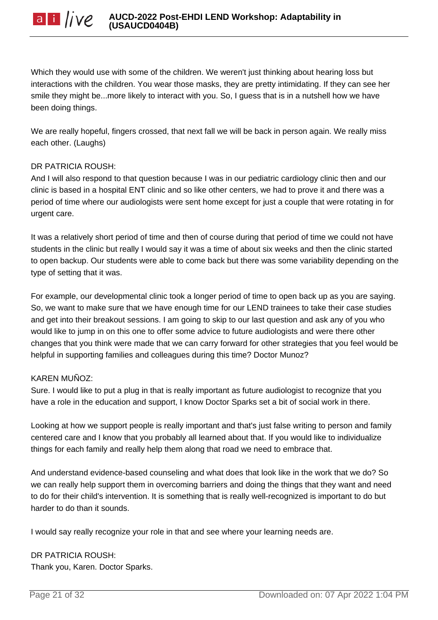

Which they would use with some of the children. We weren't just thinking about hearing loss but interactions with the children. You wear those masks, they are pretty intimidating. If they can see her smile they might be...more likely to interact with you. So, I guess that is in a nutshell how we have been doing things.

We are really hopeful, fingers crossed, that next fall we will be back in person again. We really miss each other. (Laughs)

#### DR PATRICIA ROUSH:

And I will also respond to that question because I was in our pediatric cardiology clinic then and our clinic is based in a hospital ENT clinic and so like other centers, we had to prove it and there was a period of time where our audiologists were sent home except for just a couple that were rotating in for urgent care.

It was a relatively short period of time and then of course during that period of time we could not have students in the clinic but really I would say it was a time of about six weeks and then the clinic started to open backup. Our students were able to come back but there was some variability depending on the type of setting that it was.

For example, our developmental clinic took a longer period of time to open back up as you are saying. So, we want to make sure that we have enough time for our LEND trainees to take their case studies and get into their breakout sessions. I am going to skip to our last question and ask any of you who would like to jump in on this one to offer some advice to future audiologists and were there other changes that you think were made that we can carry forward for other strategies that you feel would be helpful in supporting families and colleagues during this time? Doctor Munoz?

#### KAREN MUÑOZ:

Sure. I would like to put a plug in that is really important as future audiologist to recognize that you have a role in the education and support, I know Doctor Sparks set a bit of social work in there.

Looking at how we support people is really important and that's just false writing to person and family centered care and I know that you probably all learned about that. If you would like to individualize things for each family and really help them along that road we need to embrace that.

And understand evidence-based counseling and what does that look like in the work that we do? So we can really help support them in overcoming barriers and doing the things that they want and need to do for their child's intervention. It is something that is really well-recognized is important to do but harder to do than it sounds.

I would say really recognize your role in that and see where your learning needs are.

DR PATRICIA ROUSH: Thank you, Karen. Doctor Sparks.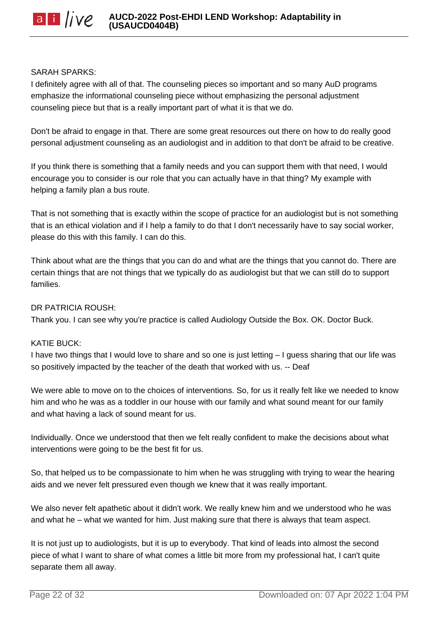#### SARAH SPARKS:

I definitely agree with all of that. The counseling pieces so important and so many AuD programs emphasize the informational counseling piece without emphasizing the personal adjustment counseling piece but that is a really important part of what it is that we do.

Don't be afraid to engage in that. There are some great resources out there on how to do really good personal adjustment counseling as an audiologist and in addition to that don't be afraid to be creative.

If you think there is something that a family needs and you can support them with that need, I would encourage you to consider is our role that you can actually have in that thing? My example with helping a family plan a bus route.

That is not something that is exactly within the scope of practice for an audiologist but is not something that is an ethical violation and if I help a family to do that I don't necessarily have to say social worker, please do this with this family. I can do this.

Think about what are the things that you can do and what are the things that you cannot do. There are certain things that are not things that we typically do as audiologist but that we can still do to support families.

#### DR PATRICIA ROUSH:

Thank you. I can see why you're practice is called Audiology Outside the Box. OK. Doctor Buck.

#### KATIE BUCK:

I have two things that I would love to share and so one is just letting – I guess sharing that our life was so positively impacted by the teacher of the death that worked with us. -- Deaf

We were able to move on to the choices of interventions. So, for us it really felt like we needed to know him and who he was as a toddler in our house with our family and what sound meant for our family and what having a lack of sound meant for us.

Individually. Once we understood that then we felt really confident to make the decisions about what interventions were going to be the best fit for us.

So, that helped us to be compassionate to him when he was struggling with trying to wear the hearing aids and we never felt pressured even though we knew that it was really important.

We also never felt apathetic about it didn't work. We really knew him and we understood who he was and what he – what we wanted for him. Just making sure that there is always that team aspect.

It is not just up to audiologists, but it is up to everybody. That kind of leads into almost the second piece of what I want to share of what comes a little bit more from my professional hat, I can't quite separate them all away.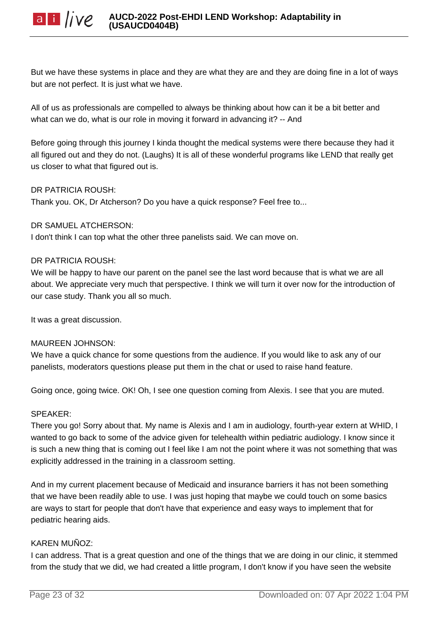But we have these systems in place and they are what they are and they are doing fine in a lot of ways but are not perfect. It is just what we have.

All of us as professionals are compelled to always be thinking about how can it be a bit better and what can we do, what is our role in moving it forward in advancing it? -- And

Before going through this journey I kinda thought the medical systems were there because they had it all figured out and they do not. (Laughs) It is all of these wonderful programs like LEND that really get us closer to what that figured out is.

## DR PATRICIA ROUSH:

Thank you. OK, Dr Atcherson? Do you have a quick response? Feel free to...

#### DR SAMUEL ATCHERSON:

I don't think I can top what the other three panelists said. We can move on.

## DR PATRICIA ROUSH:

We will be happy to have our parent on the panel see the last word because that is what we are all about. We appreciate very much that perspective. I think we will turn it over now for the introduction of our case study. Thank you all so much.

It was a great discussion.

#### MAUREEN JOHNSON:

We have a quick chance for some questions from the audience. If you would like to ask any of our panelists, moderators questions please put them in the chat or used to raise hand feature.

Going once, going twice. OK! Oh, I see one question coming from Alexis. I see that you are muted.

#### SPEAKER:

There you go! Sorry about that. My name is Alexis and I am in audiology, fourth-year extern at WHID, I wanted to go back to some of the advice given for telehealth within pediatric audiology. I know since it is such a new thing that is coming out I feel like I am not the point where it was not something that was explicitly addressed in the training in a classroom setting.

And in my current placement because of Medicaid and insurance barriers it has not been something that we have been readily able to use. I was just hoping that maybe we could touch on some basics are ways to start for people that don't have that experience and easy ways to implement that for pediatric hearing aids.

## KAREN MUÑOZ:

I can address. That is a great question and one of the things that we are doing in our clinic, it stemmed from the study that we did, we had created a little program, I don't know if you have seen the website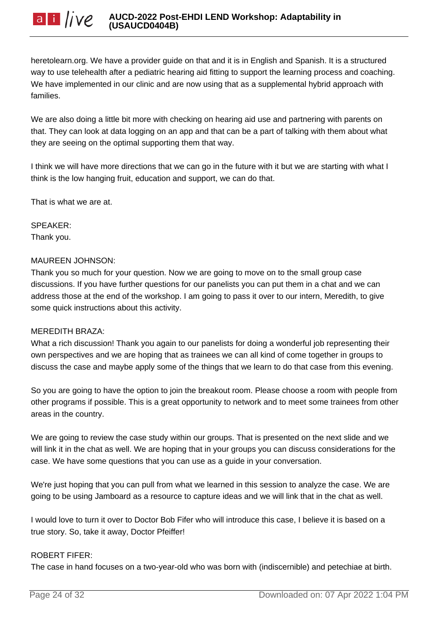heretolearn.org. We have a provider guide on that and it is in English and Spanish. It is a structured way to use telehealth after a pediatric hearing aid fitting to support the learning process and coaching. We have implemented in our clinic and are now using that as a supplemental hybrid approach with families.

We are also doing a little bit more with checking on hearing aid use and partnering with parents on that. They can look at data logging on an app and that can be a part of talking with them about what they are seeing on the optimal supporting them that way.

I think we will have more directions that we can go in the future with it but we are starting with what I think is the low hanging fruit, education and support, we can do that.

That is what we are at.

SPEAKER: Thank you.

#### MAUREEN JOHNSON:

Thank you so much for your question. Now we are going to move on to the small group case discussions. If you have further questions for our panelists you can put them in a chat and we can address those at the end of the workshop. I am going to pass it over to our intern, Meredith, to give some quick instructions about this activity.

#### MEREDITH BRAZA:

What a rich discussion! Thank you again to our panelists for doing a wonderful job representing their own perspectives and we are hoping that as trainees we can all kind of come together in groups to discuss the case and maybe apply some of the things that we learn to do that case from this evening.

So you are going to have the option to join the breakout room. Please choose a room with people from other programs if possible. This is a great opportunity to network and to meet some trainees from other areas in the country.

We are going to review the case study within our groups. That is presented on the next slide and we will link it in the chat as well. We are hoping that in your groups you can discuss considerations for the case. We have some questions that you can use as a guide in your conversation.

We're just hoping that you can pull from what we learned in this session to analyze the case. We are going to be using Jamboard as a resource to capture ideas and we will link that in the chat as well.

I would love to turn it over to Doctor Bob Fifer who will introduce this case, I believe it is based on a true story. So, take it away, Doctor Pfeiffer!

#### ROBERT FIFER:

The case in hand focuses on a two-year-old who was born with (indiscernible) and petechiae at birth.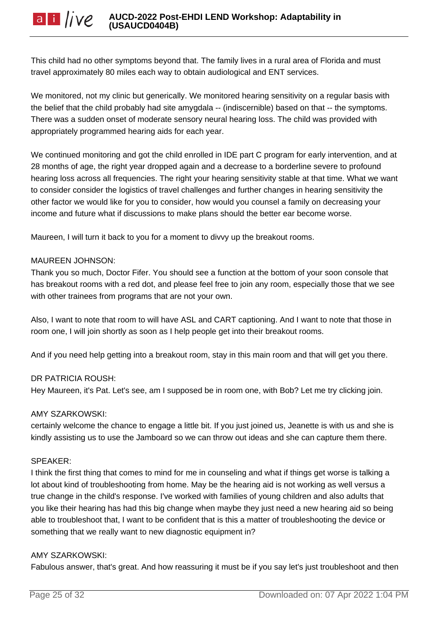This child had no other symptoms beyond that. The family lives in a rural area of Florida and must travel approximately 80 miles each way to obtain audiological and ENT services.

We monitored, not my clinic but generically. We monitored hearing sensitivity on a regular basis with the belief that the child probably had site amygdala -- (indiscernible) based on that -- the symptoms. There was a sudden onset of moderate sensory neural hearing loss. The child was provided with appropriately programmed hearing aids for each year.

We continued monitoring and got the child enrolled in IDE part C program for early intervention, and at 28 months of age, the right year dropped again and a decrease to a borderline severe to profound hearing loss across all frequencies. The right your hearing sensitivity stable at that time. What we want to consider consider the logistics of travel challenges and further changes in hearing sensitivity the other factor we would like for you to consider, how would you counsel a family on decreasing your income and future what if discussions to make plans should the better ear become worse.

Maureen, I will turn it back to you for a moment to divvy up the breakout rooms.

#### MAUREEN JOHNSON:

Thank you so much, Doctor Fifer. You should see a function at the bottom of your soon console that has breakout rooms with a red dot, and please feel free to join any room, especially those that we see with other trainees from programs that are not your own.

Also, I want to note that room to will have ASL and CART captioning. And I want to note that those in room one, I will join shortly as soon as I help people get into their breakout rooms.

And if you need help getting into a breakout room, stay in this main room and that will get you there.

# DR PATRICIA ROUSH:

Hey Maureen, it's Pat. Let's see, am I supposed be in room one, with Bob? Let me try clicking join.

#### AMY SZARKOWSKI:

certainly welcome the chance to engage a little bit. If you just joined us, Jeanette is with us and she is kindly assisting us to use the Jamboard so we can throw out ideas and she can capture them there.

#### SPEAKER:

I think the first thing that comes to mind for me in counseling and what if things get worse is talking a lot about kind of troubleshooting from home. May be the hearing aid is not working as well versus a true change in the child's response. I've worked with families of young children and also adults that you like their hearing has had this big change when maybe they just need a new hearing aid so being able to troubleshoot that, I want to be confident that is this a matter of troubleshooting the device or something that we really want to new diagnostic equipment in?

#### AMY SZARKOWSKI:

Fabulous answer, that's great. And how reassuring it must be if you say let's just troubleshoot and then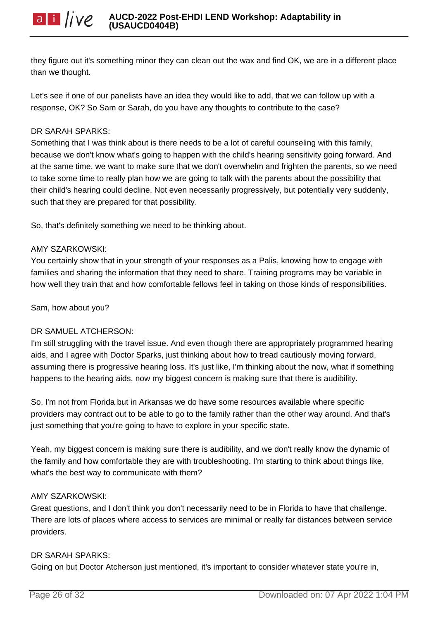they figure out it's something minor they can clean out the wax and find OK, we are in a different place than we thought.

Let's see if one of our panelists have an idea they would like to add, that we can follow up with a response, OK? So Sam or Sarah, do you have any thoughts to contribute to the case?

# DR SARAH SPARKS:

Something that I was think about is there needs to be a lot of careful counseling with this family, because we don't know what's going to happen with the child's hearing sensitivity going forward. And at the same time, we want to make sure that we don't overwhelm and frighten the parents, so we need to take some time to really plan how we are going to talk with the parents about the possibility that their child's hearing could decline. Not even necessarily progressively, but potentially very suddenly, such that they are prepared for that possibility.

So, that's definitely something we need to be thinking about.

# AMY SZARKOWSKI:

You certainly show that in your strength of your responses as a Palis, knowing how to engage with families and sharing the information that they need to share. Training programs may be variable in how well they train that and how comfortable fellows feel in taking on those kinds of responsibilities.

Sam, how about you?

# DR SAMUEL ATCHERSON:

I'm still struggling with the travel issue. And even though there are appropriately programmed hearing aids, and I agree with Doctor Sparks, just thinking about how to tread cautiously moving forward, assuming there is progressive hearing loss. It's just like, I'm thinking about the now, what if something happens to the hearing aids, now my biggest concern is making sure that there is audibility.

So, I'm not from Florida but in Arkansas we do have some resources available where specific providers may contract out to be able to go to the family rather than the other way around. And that's just something that you're going to have to explore in your specific state.

Yeah, my biggest concern is making sure there is audibility, and we don't really know the dynamic of the family and how comfortable they are with troubleshooting. I'm starting to think about things like, what's the best way to communicate with them?

# AMY SZARKOWSKI:

Great questions, and I don't think you don't necessarily need to be in Florida to have that challenge. There are lots of places where access to services are minimal or really far distances between service providers.

# DR SARAH SPARKS:

Going on but Doctor Atcherson just mentioned, it's important to consider whatever state you're in,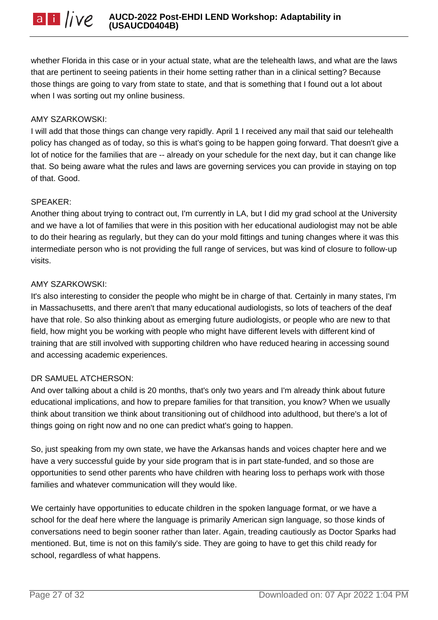whether Florida in this case or in your actual state, what are the telehealth laws, and what are the laws that are pertinent to seeing patients in their home setting rather than in a clinical setting? Because those things are going to vary from state to state, and that is something that I found out a lot about when I was sorting out my online business.

#### AMY SZARKOWSKI:

I will add that those things can change very rapidly. April 1 I received any mail that said our telehealth policy has changed as of today, so this is what's going to be happen going forward. That doesn't give a lot of notice for the families that are -- already on your schedule for the next day, but it can change like that. So being aware what the rules and laws are governing services you can provide in staying on top of that. Good.

#### SPEAKER:

Another thing about trying to contract out, I'm currently in LA, but I did my grad school at the University and we have a lot of families that were in this position with her educational audiologist may not be able to do their hearing as regularly, but they can do your mold fittings and tuning changes where it was this intermediate person who is not providing the full range of services, but was kind of closure to follow-up visits.

#### AMY SZARKOWSKI:

It's also interesting to consider the people who might be in charge of that. Certainly in many states, I'm in Massachusetts, and there aren't that many educational audiologists, so lots of teachers of the deaf have that role. So also thinking about as emerging future audiologists, or people who are new to that field, how might you be working with people who might have different levels with different kind of training that are still involved with supporting children who have reduced hearing in accessing sound and accessing academic experiences.

#### DR SAMUEL ATCHERSON:

And over talking about a child is 20 months, that's only two years and I'm already think about future educational implications, and how to prepare families for that transition, you know? When we usually think about transition we think about transitioning out of childhood into adulthood, but there's a lot of things going on right now and no one can predict what's going to happen.

So, just speaking from my own state, we have the Arkansas hands and voices chapter here and we have a very successful guide by your side program that is in part state-funded, and so those are opportunities to send other parents who have children with hearing loss to perhaps work with those families and whatever communication will they would like.

We certainly have opportunities to educate children in the spoken language format, or we have a school for the deaf here where the language is primarily American sign language, so those kinds of conversations need to begin sooner rather than later. Again, treading cautiously as Doctor Sparks had mentioned. But, time is not on this family's side. They are going to have to get this child ready for school, regardless of what happens.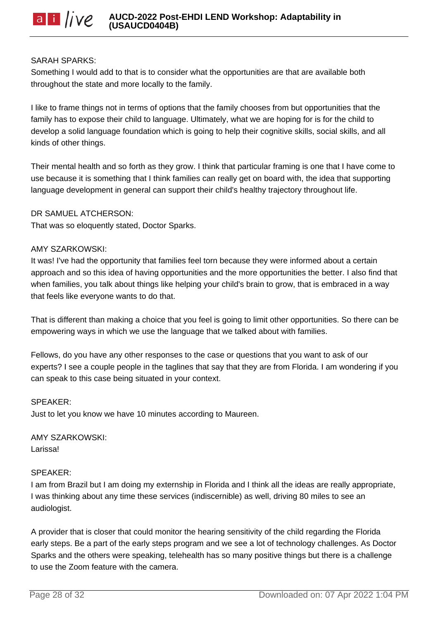#### SARAH SPARKS:

Something I would add to that is to consider what the opportunities are that are available both throughout the state and more locally to the family.

I like to frame things not in terms of options that the family chooses from but opportunities that the family has to expose their child to language. Ultimately, what we are hoping for is for the child to develop a solid language foundation which is going to help their cognitive skills, social skills, and all kinds of other things.

Their mental health and so forth as they grow. I think that particular framing is one that I have come to use because it is something that I think families can really get on board with, the idea that supporting language development in general can support their child's healthy trajectory throughout life.

#### DR SAMUEL ATCHERSON:

That was so eloquently stated, Doctor Sparks.

#### AMY SZARKOWSKI:

It was! I've had the opportunity that families feel torn because they were informed about a certain approach and so this idea of having opportunities and the more opportunities the better. I also find that when families, you talk about things like helping your child's brain to grow, that is embraced in a way that feels like everyone wants to do that.

That is different than making a choice that you feel is going to limit other opportunities. So there can be empowering ways in which we use the language that we talked about with families.

Fellows, do you have any other responses to the case or questions that you want to ask of our experts? I see a couple people in the taglines that say that they are from Florida. I am wondering if you can speak to this case being situated in your context.

#### SPEAKER:

Just to let you know we have 10 minutes according to Maureen.

AMY SZARKOWSKI: Larissa!

#### SPEAKER:

I am from Brazil but I am doing my externship in Florida and I think all the ideas are really appropriate, I was thinking about any time these services (indiscernible) as well, driving 80 miles to see an audiologist.

A provider that is closer that could monitor the hearing sensitivity of the child regarding the Florida early steps. Be a part of the early steps program and we see a lot of technology challenges. As Doctor Sparks and the others were speaking, telehealth has so many positive things but there is a challenge to use the Zoom feature with the camera.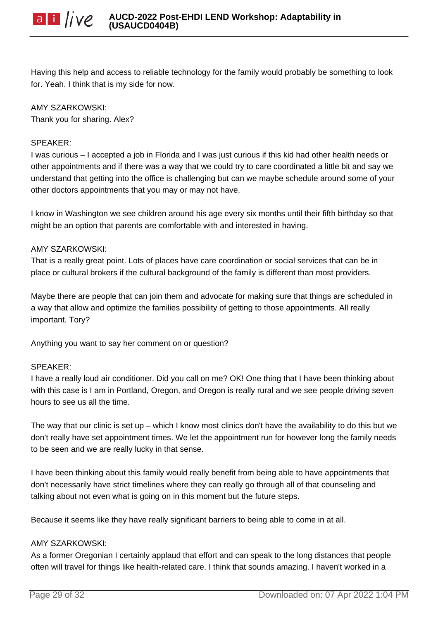

Having this help and access to reliable technology for the family would probably be something to look for. Yeah. I think that is my side for now.

# AMY SZARKOWSKI:

Thank you for sharing. Alex?

#### SPEAKER:

I was curious – I accepted a job in Florida and I was just curious if this kid had other health needs or other appointments and if there was a way that we could try to care coordinated a little bit and say we understand that getting into the office is challenging but can we maybe schedule around some of your other doctors appointments that you may or may not have.

I know in Washington we see children around his age every six months until their fifth birthday so that might be an option that parents are comfortable with and interested in having.

#### AMY SZARKOWSKI:

That is a really great point. Lots of places have care coordination or social services that can be in place or cultural brokers if the cultural background of the family is different than most providers.

Maybe there are people that can join them and advocate for making sure that things are scheduled in a way that allow and optimize the families possibility of getting to those appointments. All really important. Tory?

Anything you want to say her comment on or question?

#### SPEAKER:

I have a really loud air conditioner. Did you call on me? OK! One thing that I have been thinking about with this case is I am in Portland, Oregon, and Oregon is really rural and we see people driving seven hours to see us all the time.

The way that our clinic is set up – which I know most clinics don't have the availability to do this but we don't really have set appointment times. We let the appointment run for however long the family needs to be seen and we are really lucky in that sense.

I have been thinking about this family would really benefit from being able to have appointments that don't necessarily have strict timelines where they can really go through all of that counseling and talking about not even what is going on in this moment but the future steps.

Because it seems like they have really significant barriers to being able to come in at all.

#### AMY SZARKOWSKI:

As a former Oregonian I certainly applaud that effort and can speak to the long distances that people often will travel for things like health-related care. I think that sounds amazing. I haven't worked in a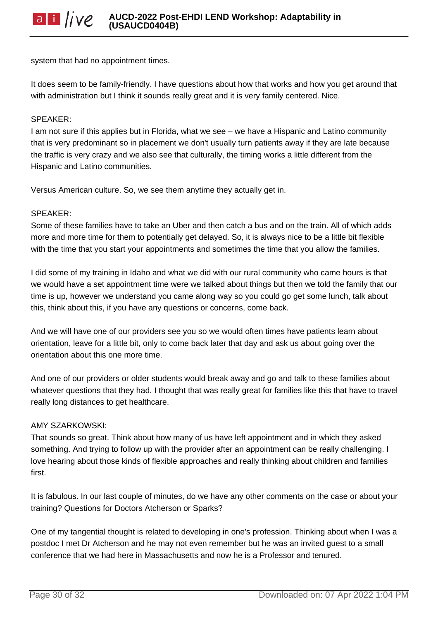system that had no appointment times.

It does seem to be family-friendly. I have questions about how that works and how you get around that with administration but I think it sounds really great and it is very family centered. Nice.

#### SPEAKER:

I am not sure if this applies but in Florida, what we see – we have a Hispanic and Latino community that is very predominant so in placement we don't usually turn patients away if they are late because the traffic is very crazy and we also see that culturally, the timing works a little different from the Hispanic and Latino communities.

Versus American culture. So, we see them anytime they actually get in.

#### SPEAKER:

Some of these families have to take an Uber and then catch a bus and on the train. All of which adds more and more time for them to potentially get delayed. So, it is always nice to be a little bit flexible with the time that you start your appointments and sometimes the time that you allow the families.

I did some of my training in Idaho and what we did with our rural community who came hours is that we would have a set appointment time were we talked about things but then we told the family that our time is up, however we understand you came along way so you could go get some lunch, talk about this, think about this, if you have any questions or concerns, come back.

And we will have one of our providers see you so we would often times have patients learn about orientation, leave for a little bit, only to come back later that day and ask us about going over the orientation about this one more time.

And one of our providers or older students would break away and go and talk to these families about whatever questions that they had. I thought that was really great for families like this that have to travel really long distances to get healthcare.

#### AMY SZARKOWSKI:

That sounds so great. Think about how many of us have left appointment and in which they asked something. And trying to follow up with the provider after an appointment can be really challenging. I love hearing about those kinds of flexible approaches and really thinking about children and families first.

It is fabulous. In our last couple of minutes, do we have any other comments on the case or about your training? Questions for Doctors Atcherson or Sparks?

One of my tangential thought is related to developing in one's profession. Thinking about when I was a postdoc I met Dr Atcherson and he may not even remember but he was an invited guest to a small conference that we had here in Massachusetts and now he is a Professor and tenured.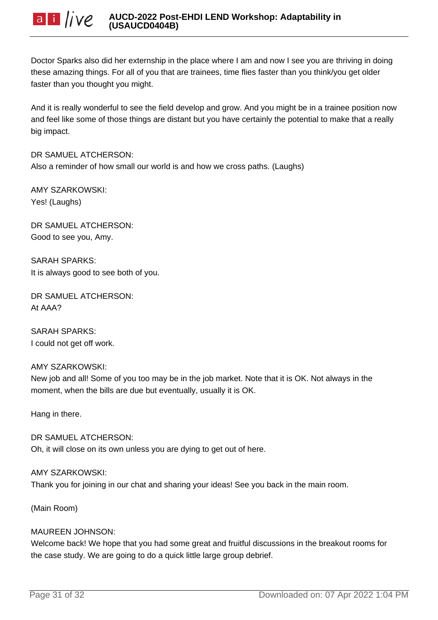

Doctor Sparks also did her externship in the place where I am and now I see you are thriving in doing these amazing things. For all of you that are trainees, time flies faster than you think/you get older faster than you thought you might.

And it is really wonderful to see the field develop and grow. And you might be in a trainee position now and feel like some of those things are distant but you have certainly the potential to make that a really big impact.

# DR SAMUEL ATCHERSON:

Also a reminder of how small our world is and how we cross paths. (Laughs)

AMY SZARKOWSKI: Yes! (Laughs)

DR SAMUEL ATCHERSON: Good to see you, Amy.

SARAH SPARKS: It is always good to see both of you.

DR SAMUEL ATCHERSON: At AAA?

SARAH SPARKS: I could not get off work.

#### AMY SZARKOWSKI:

New job and all! Some of you too may be in the job market. Note that it is OK. Not always in the moment, when the bills are due but eventually, usually it is OK.

Hang in there.

DR SAMUEL ATCHERSON: Oh, it will close on its own unless you are dying to get out of here.

#### AMY SZARKOWSKI:

Thank you for joining in our chat and sharing your ideas! See you back in the main room.

(Main Room)

#### MAUREEN JOHNSON:

Welcome back! We hope that you had some great and fruitful discussions in the breakout rooms for the case study. We are going to do a quick little large group debrief.